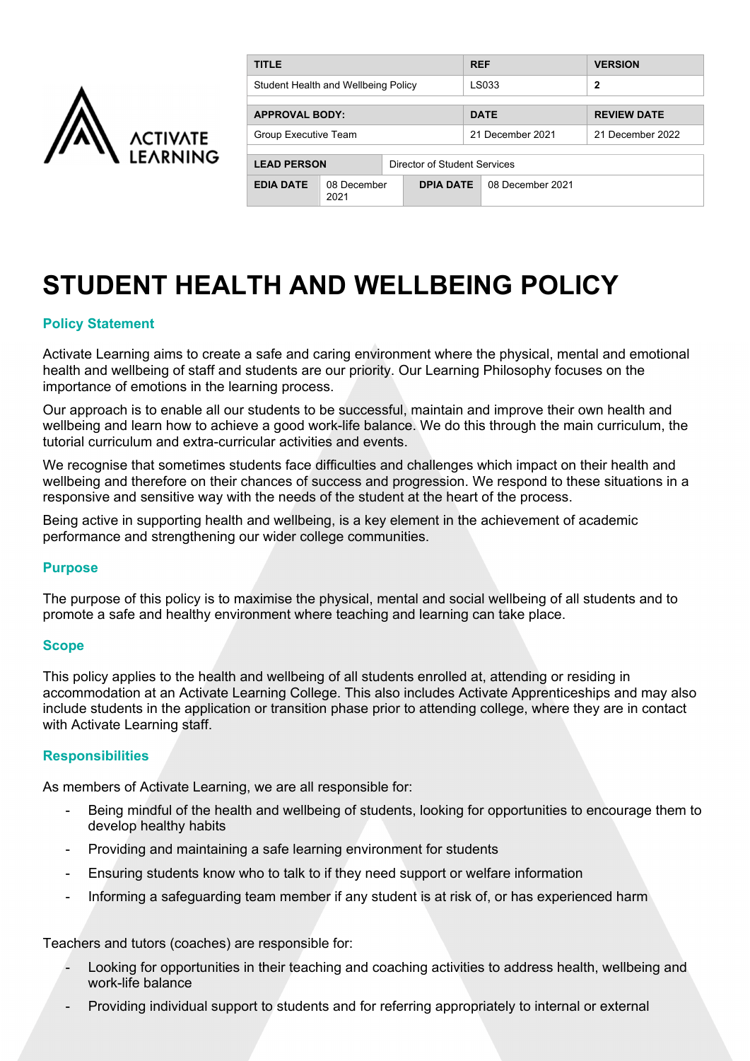

| <b>TITLE</b>                        |                     |                              |  | <b>REF</b> |                  | <b>VERSION</b>     |
|-------------------------------------|---------------------|------------------------------|--|------------|------------------|--------------------|
| Student Health and Wellbeing Policy |                     |                              |  |            | LS033            | $\mathbf{2}$       |
| <b>APPROVAL BODY:</b>               |                     |                              |  |            | <b>DATE</b>      | <b>REVIEW DATE</b> |
|                                     |                     |                              |  |            |                  |                    |
| Group Executive Team                |                     |                              |  |            | 21 December 2021 | 21 December 2022   |
|                                     |                     |                              |  |            |                  |                    |
| <b>LEAD PERSON</b>                  |                     | Director of Student Services |  |            |                  |                    |
| <b>EDIA DATE</b>                    | 08 December<br>2021 | <b>DPIA DATE</b>             |  |            | 08 December 2021 |                    |

# **STUDENT HEALTH AND WELLBEING POLICY**

# **Policy Statement**

Activate Learning aims to create a safe and caring environment where the physical, mental and emotional health and wellbeing of staff and students are our priority. Our Learning Philosophy focuses on the importance of emotions in the learning process.

Our approach is to enable all our students to be successful, maintain and improve their own health and wellbeing and learn how to achieve a good work-life balance. We do this through the main curriculum, the tutorial curriculum and extra-curricular activities and events.

We recognise that sometimes students face difficulties and challenges which impact on their health and wellbeing and therefore on their chances of success and progression. We respond to these situations in a responsive and sensitive way with the needs of the student at the heart of the process.

Being active in supporting health and wellbeing, is a key element in the achievement of academic performance and strengthening our wider college communities.

## **Purpose**

The purpose of this policy is to maximise the physical, mental and social wellbeing of all students and to promote a safe and healthy environment where teaching and learning can take place.

#### **Scope**

This policy applies to the health and wellbeing of all students enrolled at, attending or residing in accommodation at an Activate Learning College. This also includes Activate Apprenticeships and may also include students in the application or transition phase prior to attending college, where they are in contact with Activate Learning staff.

## **Responsibilities**

As members of Activate Learning, we are all responsible for:

- Being mindful of the health and wellbeing of students, looking for opportunities to encourage them to develop healthy habits
- Providing and maintaining a safe learning environment for students
- Ensuring students know who to talk to if they need support or welfare information
- Informing a safeguarding team member if any student is at risk of, or has experienced harm

Teachers and tutors (coaches) are responsible for:

- Looking for opportunities in their teaching and coaching activities to address health, wellbeing and work-life balance
- Providing individual support to students and for referring appropriately to internal or external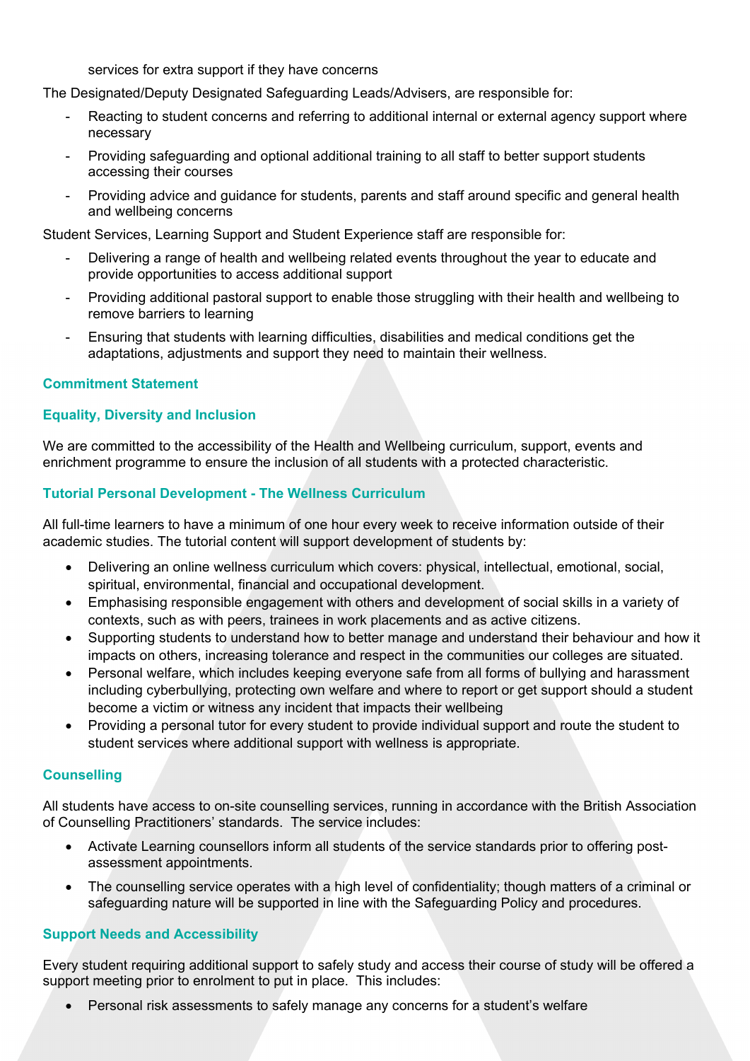services for extra support if they have concerns

The Designated/Deputy Designated Safeguarding Leads/Advisers, are responsible for:

- Reacting to student concerns and referring to additional internal or external agency support where necessary
- Providing safeguarding and optional additional training to all staff to better support students accessing their courses
- Providing advice and guidance for students, parents and staff around specific and general health and wellbeing concerns

Student Services, Learning Support and Student Experience staff are responsible for:

- Delivering a range of health and wellbeing related events throughout the year to educate and provide opportunities to access additional support
- Providing additional pastoral support to enable those struggling with their health and wellbeing to remove barriers to learning
- Ensuring that students with learning difficulties, disabilities and medical conditions get the adaptations, adjustments and support they need to maintain their wellness.

## **Commitment Statement**

## **Equality, Diversity and Inclusion**

We are committed to the accessibility of the Health and Wellbeing curriculum, support, events and enrichment programme to ensure the inclusion of all students with a protected characteristic.

## **Tutorial Personal Development - The Wellness Curriculum**

All full-time learners to have a minimum of one hour every week to receive information outside of their academic studies. The tutorial content will support development of students by:

- Delivering an online wellness curriculum which covers: physical, intellectual, emotional, social, spiritual, environmental, financial and occupational development.
- Emphasising responsible engagement with others and development of social skills in a variety of contexts, such as with peers, trainees in work placements and as active citizens.
- Supporting students to understand how to better manage and understand their behaviour and how it impacts on others, increasing tolerance and respect in the communities our colleges are situated.
- Personal welfare, which includes keeping everyone safe from all forms of bullying and harassment including cyberbullying, protecting own welfare and where to report or get support should a student become a victim or witness any incident that impacts their wellbeing
- Providing a personal tutor for every student to provide individual support and route the student to student services where additional support with wellness is appropriate.

## **Counselling**

All students have access to on-site counselling services, running in accordance with the British Association of Counselling Practitioners' standards. The service includes:

- Activate Learning counsellors inform all students of the service standards prior to offering postassessment appointments.
- The counselling service operates with a high level of confidentiality; though matters of a criminal or safeguarding nature will be supported in line with the Safeguarding Policy and procedures.

## **Support Needs and Accessibility**

Every student requiring additional support to safely study and access their course of study will be offered a support meeting prior to enrolment to put in place. This includes:

Personal risk assessments to safely manage any concerns for a student's welfare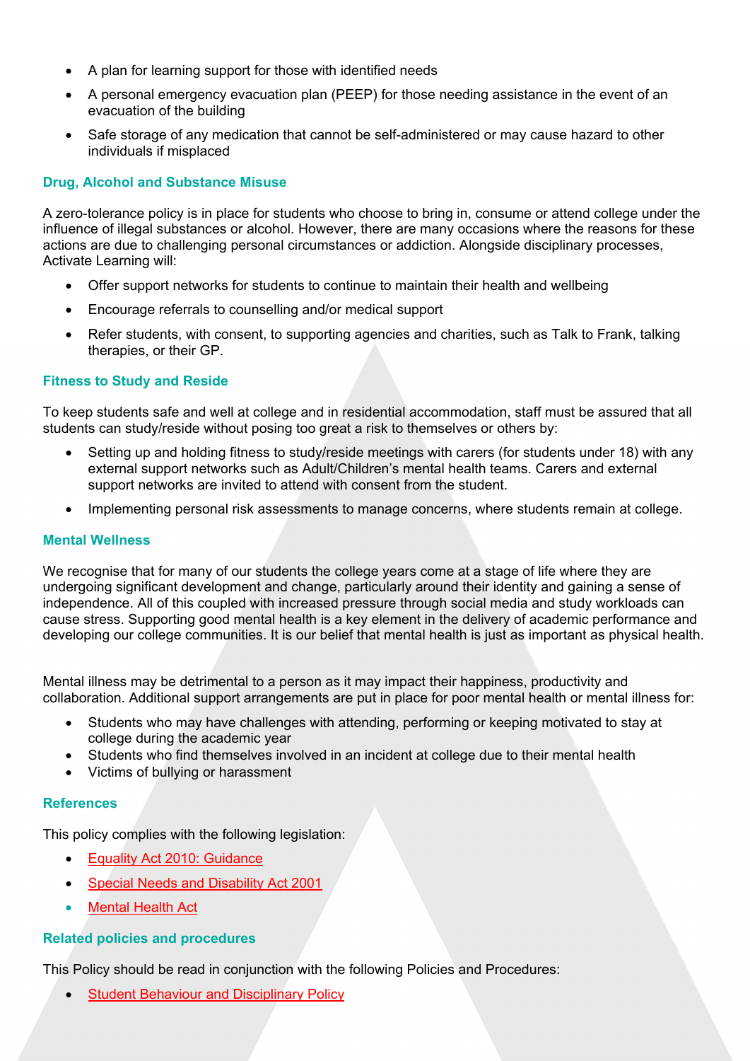- A plan for learning support for those with identified needs
- A personal emergency evacuation plan (PEEP) for those needing assistance in the event of an evacuation of the building
- Safe storage of any medication that cannot be self-administered or may cause hazard to other individuals if misplaced

# **Drug, Alcohol and Substance Misuse**

A zero-tolerance policy is in place for students who choose to bring in, consume or attend college under the influence of illegal substances or alcohol. However, there are many occasions where the reasons for these actions are due to challenging personal circumstances or addiction. Alongside disciplinary processes, Activate Learning will:

- Offer support networks for students to continue to maintain their health and wellbeing
- Encourage referrals to counselling and/or medical support
- Refer students, with consent, to supporting agencies and charities, such as Talk to Frank, talking therapies, or their GP.

## **Fitness to Study and Reside**

To keep students safe and well at college and in residential accommodation, staff must be assured that all students can study/reside without posing too great a risk to themselves or others by:

- Setting up and holding fitness to study/reside meetings with carers (for students under 18) with any external support networks such as Adult/Children's mental health teams. Carers and external support networks are invited to attend with consent from the student.
- Implementing personal risk assessments to manage concerns, where students remain at college.

#### **Mental Wellness**

We recognise that for many of our students the college years come at a stage of life where they are undergoing significant development and change, particularly around their identity and gaining a sense of independence. All of this coupled with increased pressure through social media and study workloads can cause stress. Supporting good mental health is a key element in the delivery of academic performance and developing our college communities. It is our belief that mental health is just as important as physical health.

Mental illness may be detrimental to a person as it may impact their happiness, productivity and collaboration. Additional support arrangements are put in place for poor mental health or mental illness for:

- Students who may have challenges with attending, performing or keeping motivated to stay at college during the academic year
- Students who find themselves involved in an incident at college due to their mental health
- Victims of bullying or harassment

#### **References**

This policy complies with the following legislation:

- Equality Act 2010: Guidance
- Special Needs and Disability Act 2001
- Mental Health Act

## **Related policies and procedures**

This Policy should be read in conjunction with the following Policies and Procedures:

Student Behaviour and Disciplinary Policy